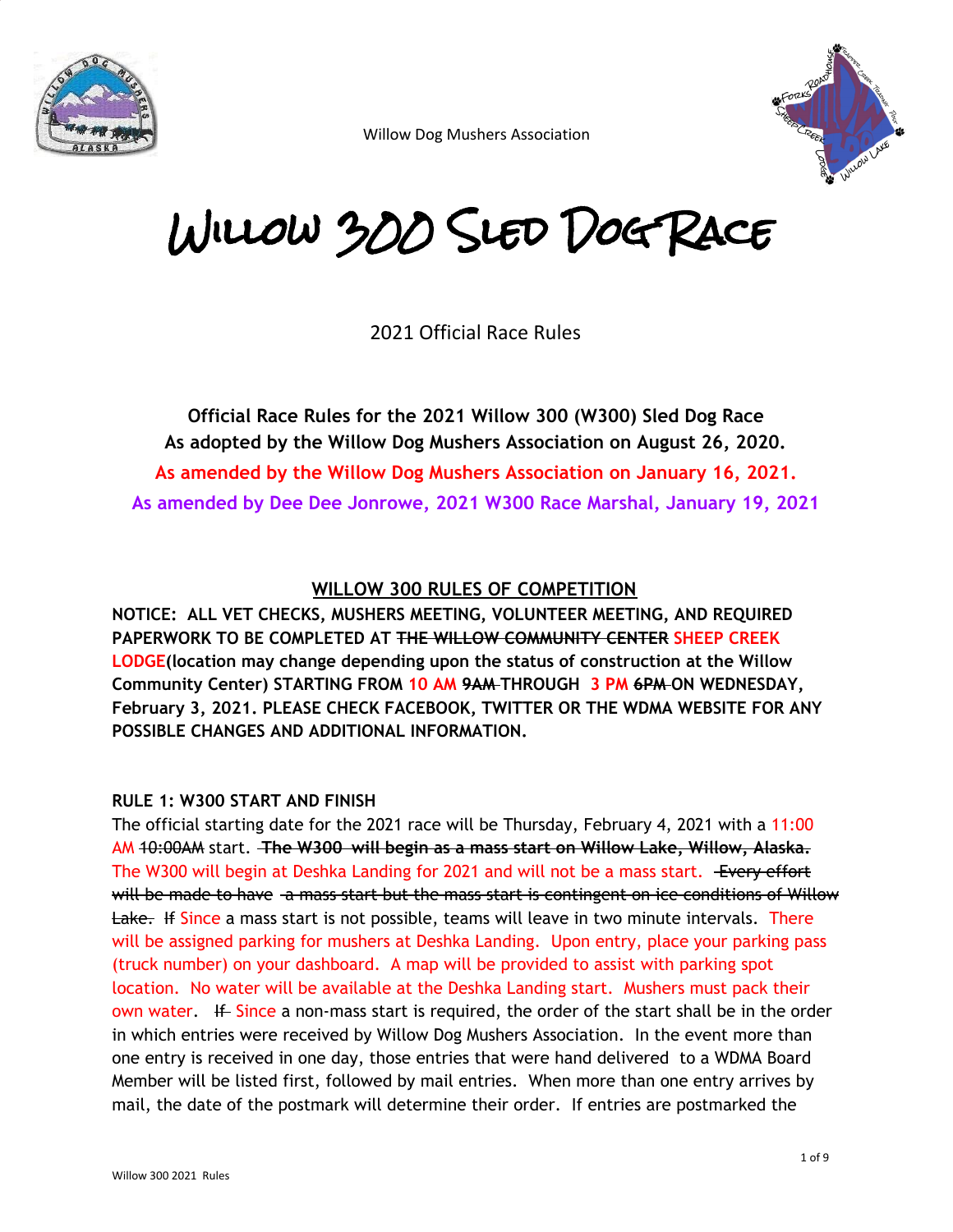



# Willow 300 Sled Dog Race

2021 Official Race Rules

**Official Race Rules for the 2021 Willow 300 (W300) Sled Dog Race As adopted by the Willow Dog Mushers Association on August 26, 2020. As amended by the Willow Dog Mushers Association on January 16, 2021. As amended by Dee Dee Jonrowe, 2021 W300 Race Marshal, January 19, 2021**

#### **WILLOW 300 RULES OF COMPETITION**

**NOTICE: ALL VET CHECKS, MUSHERS MEETING, VOLUNTEER MEETING, AND REQUIRED PAPERWORK TO BE COMPLETED AT THE WILLOW COMMUNITY CENTER SHEEP CREEK LODGE(location may change depending upon the status of construction at the Willow Community Center) STARTING FROM 10 AM 9AM THROUGH 3 PM 6PM ON WEDNESDAY, February 3, 2021. PLEASE CHECK FACEBOOK, TWITTER OR THE WDMA WEBSITE FOR ANY POSSIBLE CHANGES AND ADDITIONAL INFORMATION.**

#### **RULE 1: W300 START AND FINISH**

The official starting date for the 2021 race will be Thursday, February 4, 2021 with a 11:00 AM 10:00AM start. **The W300 will begin as a mass start on Willow Lake, Willow, Alaska.** The W300 will begin at Deshka Landing for 2021 and will not be a mass start. Every effort will be made to have a mass start but the mass start is contingent on ice conditions of Willow Lake. If Since a mass start is not possible, teams will leave in two minute intervals. There will be assigned parking for mushers at Deshka Landing. Upon entry, place your parking pass (truck number) on your dashboard. A map will be provided to assist with parking spot location. No water will be available at the Deshka Landing start. Mushers must pack their own water. If Since a non-mass start is required, the order of the start shall be in the order in which entries were received by Willow Dog Mushers Association. In the event more than one entry is received in one day, those entries that were hand delivered to a WDMA Board Member will be listed first, followed by mail entries. When more than one entry arrives by mail, the date of the postmark will determine their order. If entries are postmarked the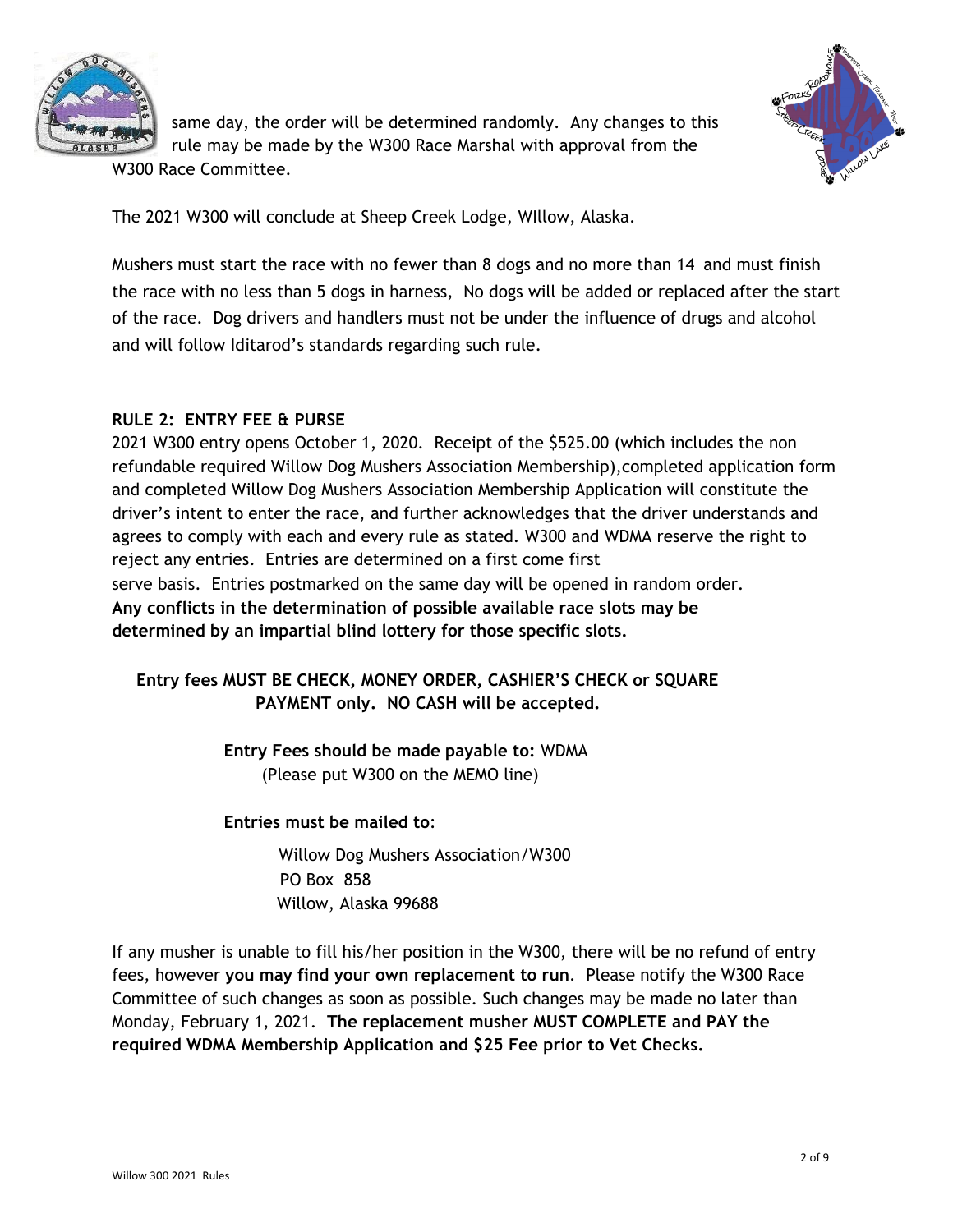



same day, the order will be determined randomly. Any changes to this rule may be made by the W300 Race Marshal with approval from the W300 Race Committee.

The 2021 W300 will conclude at Sheep Creek Lodge, WIllow, Alaska.

Mushers must start the race with no fewer than 8 dogs and no more than 14 and must finish the race with no less than 5 dogs in harness, No dogs will be added or replaced after the start of the race. Dog drivers and handlers must not be under the influence of drugs and alcohol and will follow Iditarod's standards regarding such rule.

#### **RULE 2: ENTRY FEE & PURSE**

2021 W300 entry opens October 1, 2020. Receipt of the \$525.00 (which includes the non refundable required Willow Dog Mushers Association Membership),completed application form and completed Willow Dog Mushers Association Membership Application will constitute the driver's intent to enter the race, and further acknowledges that the driver understands and agrees to comply with each and every rule as stated. W300 and WDMA reserve the right to reject any entries. Entries are determined on a first come first serve basis. Entries postmarked on the same day will be opened in random order. **Any conflicts in the determination of possible available race slots may be determined by an impartial blind lottery for those specific slots.**

**Entry fees MUST BE CHECK, MONEY ORDER, CASHIER'S CHECK or SQUARE PAYMENT only. NO CASH will be accepted.**

> **Entry Fees should be made payable to:** WDMA (Please put W300 on the MEMO line)

**Entries must be mailed to**:

Willow Dog Mushers Association/W300 PO Box 858 Willow, Alaska 99688

If any musher is unable to fill his/her position in the W300, there will be no refund of entry fees, however **you may find your own replacement to run**. Please notify the W300 Race Committee of such changes as soon as possible. Such changes may be made no later than Monday, February 1, 2021. **The replacement musher MUST COMPLETE and PAY the required WDMA Membership Application and \$25 Fee prior to Vet Checks.**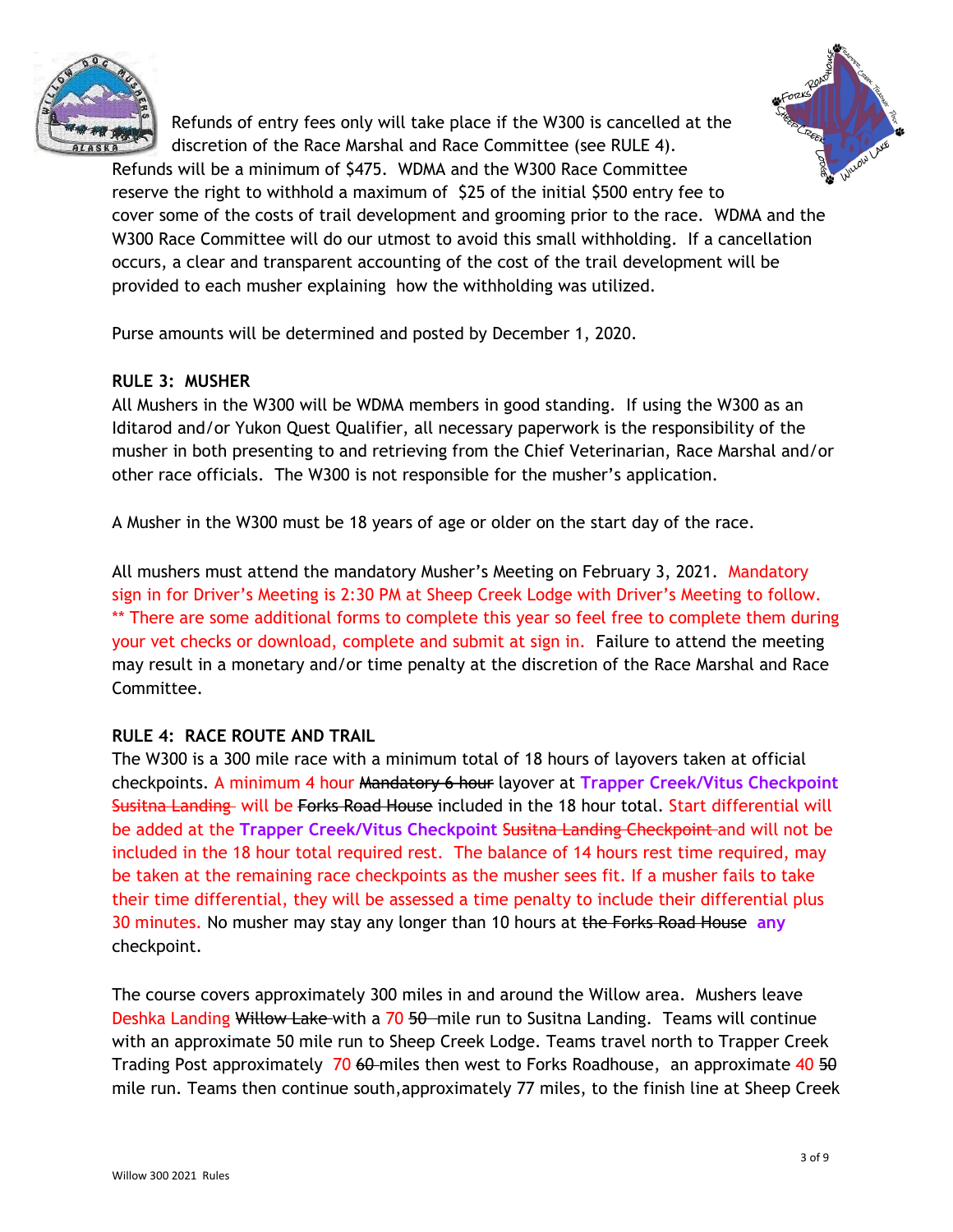

Refunds of entry fees only will take place if the W300 is cancelled at the discretion of the Race Marshal and Race Committee (see RULE 4).



Refunds will be a minimum of \$475. WDMA and the W300 Race Committee reserve the right to withhold a maximum of \$25 of the initial \$500 entry fee to cover some of the costs of trail development and grooming prior to the race. WDMA and the W300 Race Committee will do our utmost to avoid this small withholding. If a cancellation occurs, a clear and transparent accounting of the cost of the trail development will be provided to each musher explaining how the withholding was utilized.

Purse amounts will be determined and posted by December 1, 2020.

## **RULE 3: MUSHER**

All Mushers in the W300 will be WDMA members in good standing. If using the W300 as an Iditarod and/or Yukon Quest Qualifier, all necessary paperwork is the responsibility of the musher in both presenting to and retrieving from the Chief Veterinarian, Race Marshal and/or other race officials. The W300 is not responsible for the musher's application.

A Musher in the W300 must be 18 years of age or older on the start day of the race.

All mushers must attend the mandatory Musher's Meeting on February 3, 2021. Mandatory sign in for Driver's Meeting is 2:30 PM at Sheep Creek Lodge with Driver's Meeting to follow. \*\* There are some additional forms to complete this year so feel free to complete them during your vet checks or download, complete and submit at sign in. Failure to attend the meeting may result in a monetary and/or time penalty at the discretion of the Race Marshal and Race Committee.

#### **RULE 4: RACE ROUTE AND TRAIL**

The W300 is a 300 mile race with a minimum total of 18 hours of layovers taken at official checkpoints. A minimum 4 hour Mandatory 6 hour layover at **Trapper Creek/Vitus Checkpoint** Susitna Landing will be Forks Road House included in the 18 hour total. Start differential will be added at the **Trapper Creek/Vitus Checkpoint** Susitna Landing Checkpoint and will not be included in the 18 hour total required rest. The balance of 14 hours rest time required, may be taken at the remaining race checkpoints as the musher sees fit. If a musher fails to take their time differential, they will be assessed a time penalty to include their differential plus 30 minutes. No musher may stay any longer than 10 hours at the Forks Road House **any** checkpoint.

The course covers approximately 300 miles in and around the Willow area. Mushers leave Deshka Landing Willow Lake-with a 70 50 mile run to Susitna Landing. Teams will continue with an approximate 50 mile run to Sheep Creek Lodge. Teams travel north to Trapper Creek Trading Post approximately  $70,60$ -miles then west to Forks Roadhouse, an approximate 40 50 mile run. Teams then continue south,approximately 77 miles, to the finish line at Sheep Creek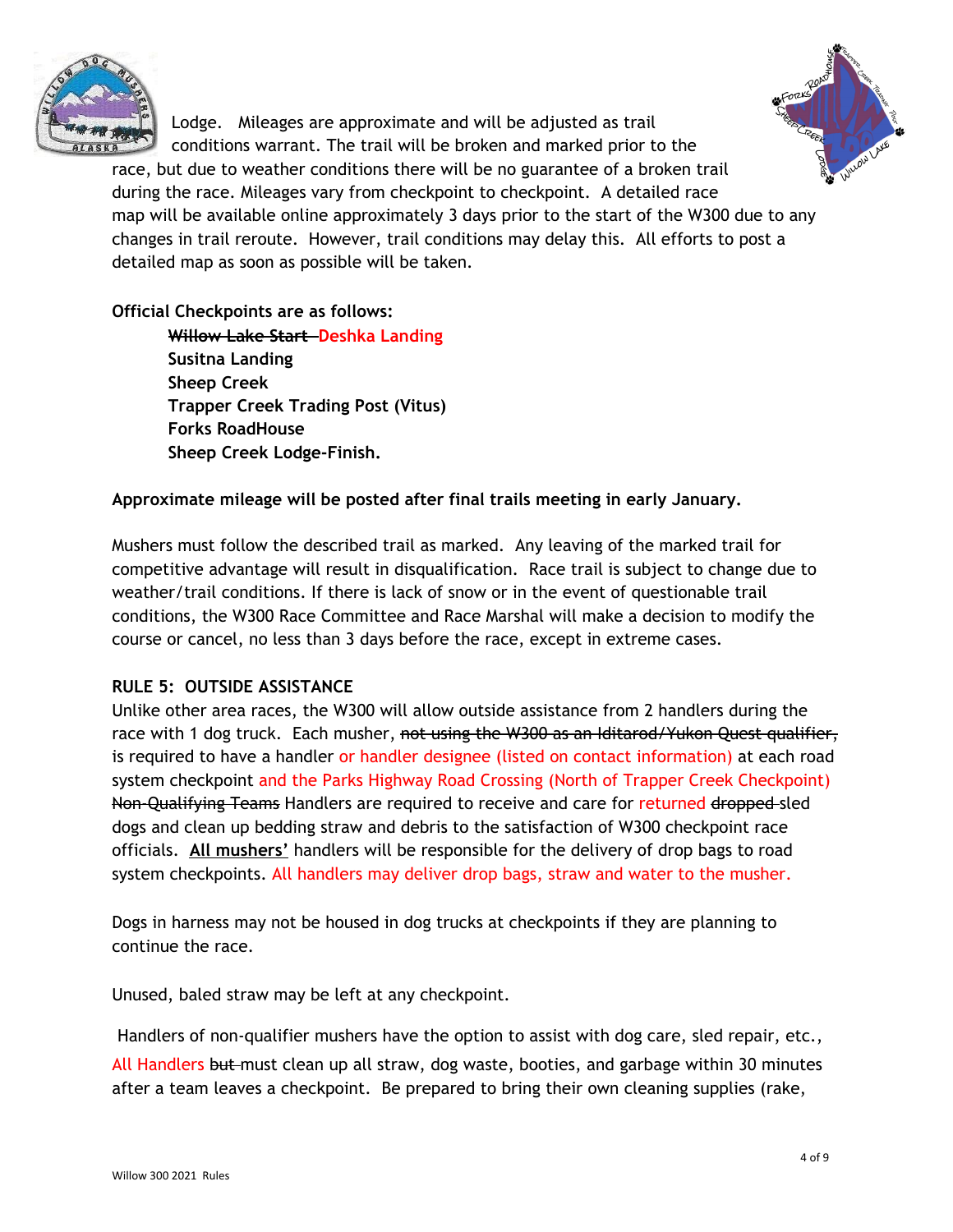

Lodge. Mileages are approximate and will be adjusted as trail conditions warrant. The trail will be broken and marked prior to the



race, but due to weather conditions there will be no guarantee of a broken trail during the race. Mileages vary from checkpoint to checkpoint. A detailed race map will be available online approximately 3 days prior to the start of the W300 due to any changes in trail reroute. However, trail conditions may delay this. All efforts to post a detailed map as soon as possible will be taken.

## **Official Checkpoints are as follows:**

**Willow Lake Start Deshka Landing Susitna Landing Sheep Creek Trapper Creek Trading Post (Vitus) Forks RoadHouse Sheep Creek Lodge-Finish.**

## **Approximate mileage will be posted after final trails meeting in early January.**

Mushers must follow the described trail as marked. Any leaving of the marked trail for competitive advantage will result in disqualification. Race trail is subject to change due to weather/trail conditions. If there is lack of snow or in the event of questionable trail conditions, the W300 Race Committee and Race Marshal will make a decision to modify the course or cancel, no less than 3 days before the race, except in extreme cases.

## **RULE 5: OUTSIDE ASSISTANCE**

Unlike other area races, the W300 will allow outside assistance from 2 handlers during the race with 1 dog truck. Each musher, not using the W300 as an Iditarod/Yukon Quest qualifier, is required to have a handler or handler designee (listed on contact information) at each road system checkpoint and the Parks Highway Road Crossing (North of Trapper Creek Checkpoint) Non-Qualifying Teams Handlers are required to receive and care for returned dropped-sled dogs and clean up bedding straw and debris to the satisfaction of W300 checkpoint race officials. **All mushers'** handlers will be responsible for the delivery of drop bags to road system checkpoints. All handlers may deliver drop bags, straw and water to the musher.

Dogs in harness may not be housed in dog trucks at checkpoints if they are planning to continue the race.

Unused, baled straw may be left at any checkpoint.

Handlers of non-qualifier mushers have the option to assist with dog care, sled repair, etc., All Handlers but must clean up all straw, dog waste, booties, and garbage within 30 minutes after a team leaves a checkpoint. Be prepared to bring their own cleaning supplies (rake,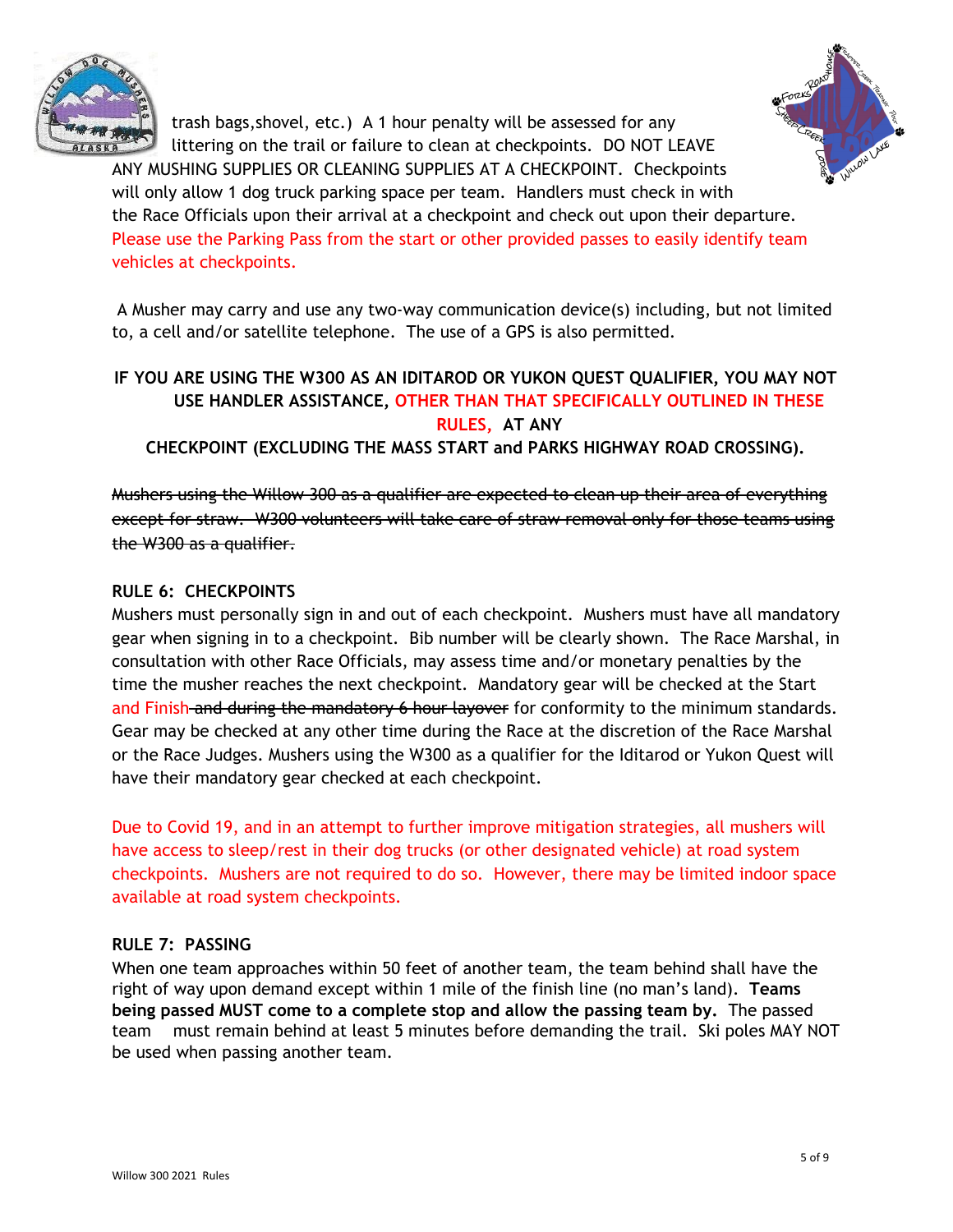



trash bags,shovel, etc.) A 1 hour penalty will be assessed for any littering on the trail or failure to clean at checkpoints. DO NOT LEAVE ANY MUSHING SUPPLIES OR CLEANING SUPPLIES AT A CHECKPOINT. Checkpoints will only allow 1 dog truck parking space per team. Handlers must check in with the Race Officials upon their arrival at a checkpoint and check out upon their departure. Please use the Parking Pass from the start or other provided passes to easily identify team vehicles at checkpoints.

A Musher may carry and use any two-way communication device(s) including, but not limited to, a cell and/or satellite telephone. The use of a GPS is also permitted.

# **IF YOU ARE USING THE W300 AS AN IDITAROD OR YUKON QUEST QUALIFIER, YOU MAY NOT USE HANDLER ASSISTANCE, OTHER THAN THAT SPECIFICALLY OUTLINED IN THESE RULES, AT ANY**

**CHECKPOINT (EXCLUDING THE MASS START and PARKS HIGHWAY ROAD CROSSING).**

Mushers using the Willow 300 as a qualifier are expected to clean up their area of everything except for straw. W300 volunteers will take care of straw removal only for those teams using the W300 as a qualifier.

## **RULE 6: CHECKPOINTS**

Mushers must personally sign in and out of each checkpoint. Mushers must have all mandatory gear when signing in to a checkpoint. Bib number will be clearly shown. The Race Marshal, in consultation with other Race Officials, may assess time and/or monetary penalties by the time the musher reaches the next checkpoint. Mandatory gear will be checked at the Start and Finish and during the mandatory 6 hour layover for conformity to the minimum standards. Gear may be checked at any other time during the Race at the discretion of the Race Marshal or the Race Judges. Mushers using the W300 as a qualifier for the Iditarod or Yukon Quest will have their mandatory gear checked at each checkpoint.

Due to Covid 19, and in an attempt to further improve mitigation strategies, all mushers will have access to sleep/rest in their dog trucks (or other designated vehicle) at road system checkpoints. Mushers are not required to do so. However, there may be limited indoor space available at road system checkpoints.

## **RULE 7: PASSING**

When one team approaches within 50 feet of another team, the team behind shall have the right of way upon demand except within 1 mile of the finish line (no man's land). **Teams being passed MUST come to a complete stop and allow the passing team by.** The passed team must remain behind at least 5 minutes before demanding the trail. Ski poles MAY NOT be used when passing another team.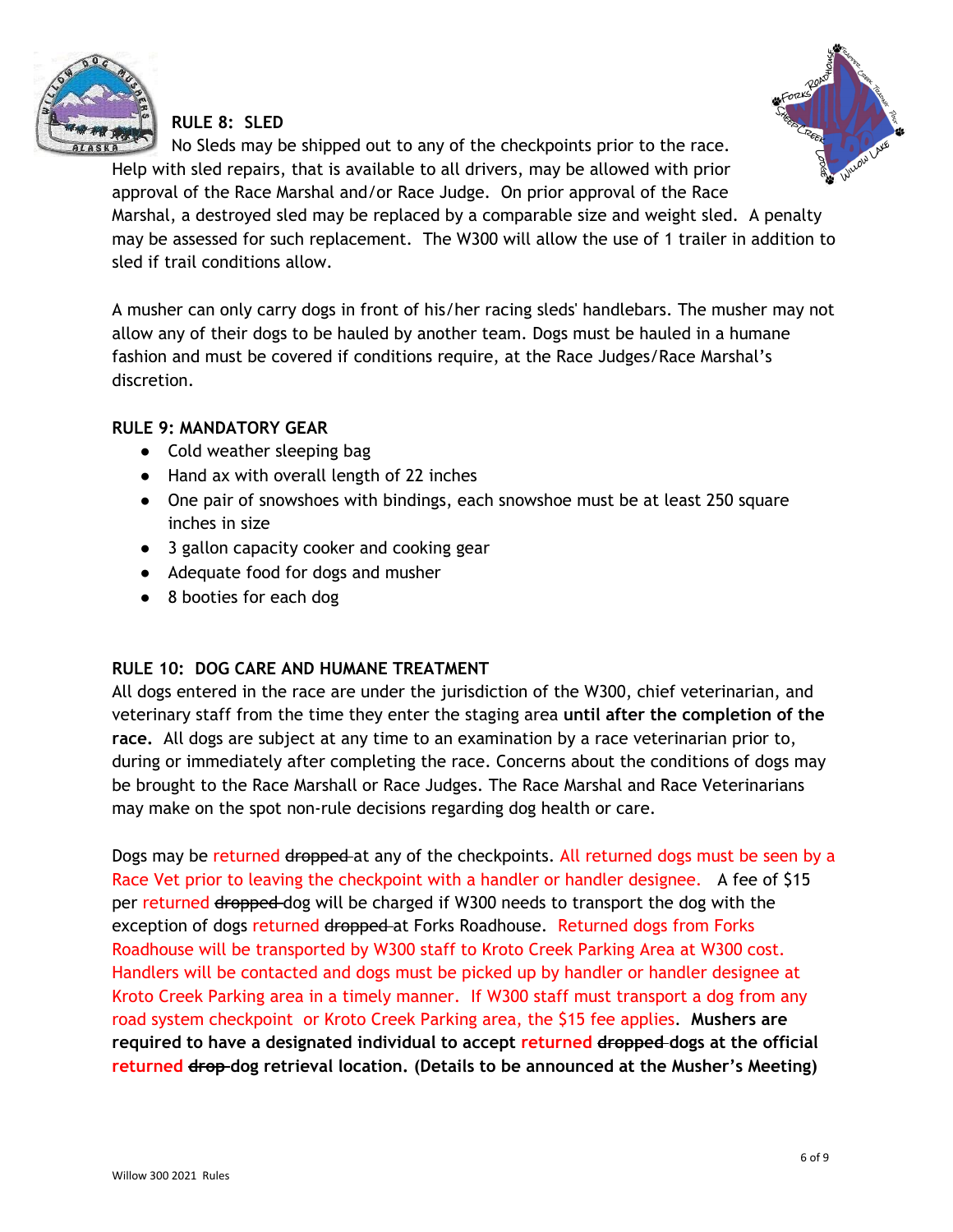

#### **RULE 8: SLED**



No Sleds may be shipped out to any of the checkpoints prior to the race. Help with sled repairs, that is available to all drivers, may be allowed with prior

approval of the Race Marshal and/or Race Judge. On prior approval of the Race Marshal, a destroyed sled may be replaced by a comparable size and weight sled. A penalty may be assessed for such replacement. The W300 will allow the use of 1 trailer in addition to sled if trail conditions allow.

A musher can only carry dogs in front of his/her racing sleds' handlebars. The musher may not allow any of their dogs to be hauled by another team. Dogs must be hauled in a humane fashion and must be covered if conditions require, at the Race Judges/Race Marshal's discretion.

#### **RULE 9: MANDATORY GEAR**

- Cold weather sleeping bag
- Hand ax with overall length of 22 inches
- One pair of snowshoes with bindings, each snowshoe must be at least 250 square inches in size
- 3 gallon capacity cooker and cooking gear
- Adequate food for dogs and musher
- 8 booties for each dog

#### **RULE 10: DOG CARE AND HUMANE TREATMENT**

All dogs entered in the race are under the jurisdiction of the W300, chief veterinarian, and veterinary staff from the time they enter the staging area **until after the completion of the race.** All dogs are subject at any time to an examination by a race veterinarian prior to, during or immediately after completing the race. Concerns about the conditions of dogs may be brought to the Race Marshall or Race Judges. The Race Marshal and Race Veterinarians may make on the spot non-rule decisions regarding dog health or care.

Dogs may be returned dropped at any of the checkpoints. All returned dogs must be seen by a Race Vet prior to leaving the checkpoint with a handler or handler designee. A fee of \$15 per returned dropped dog will be charged if W300 needs to transport the dog with the exception of dogs returned dropped at Forks Roadhouse. Returned dogs from Forks Roadhouse will be transported by W300 staff to Kroto Creek Parking Area at W300 cost. Handlers will be contacted and dogs must be picked up by handler or handler designee at Kroto Creek Parking area in a timely manner. If W300 staff must transport a dog from any road system checkpoint or Kroto Creek Parking area, the \$15 fee applies. **Mushers are required to have a designated individual to accept returned dropped dogs at the official returned drop dog retrieval location. (Details to be announced at the Musher's Meeting)**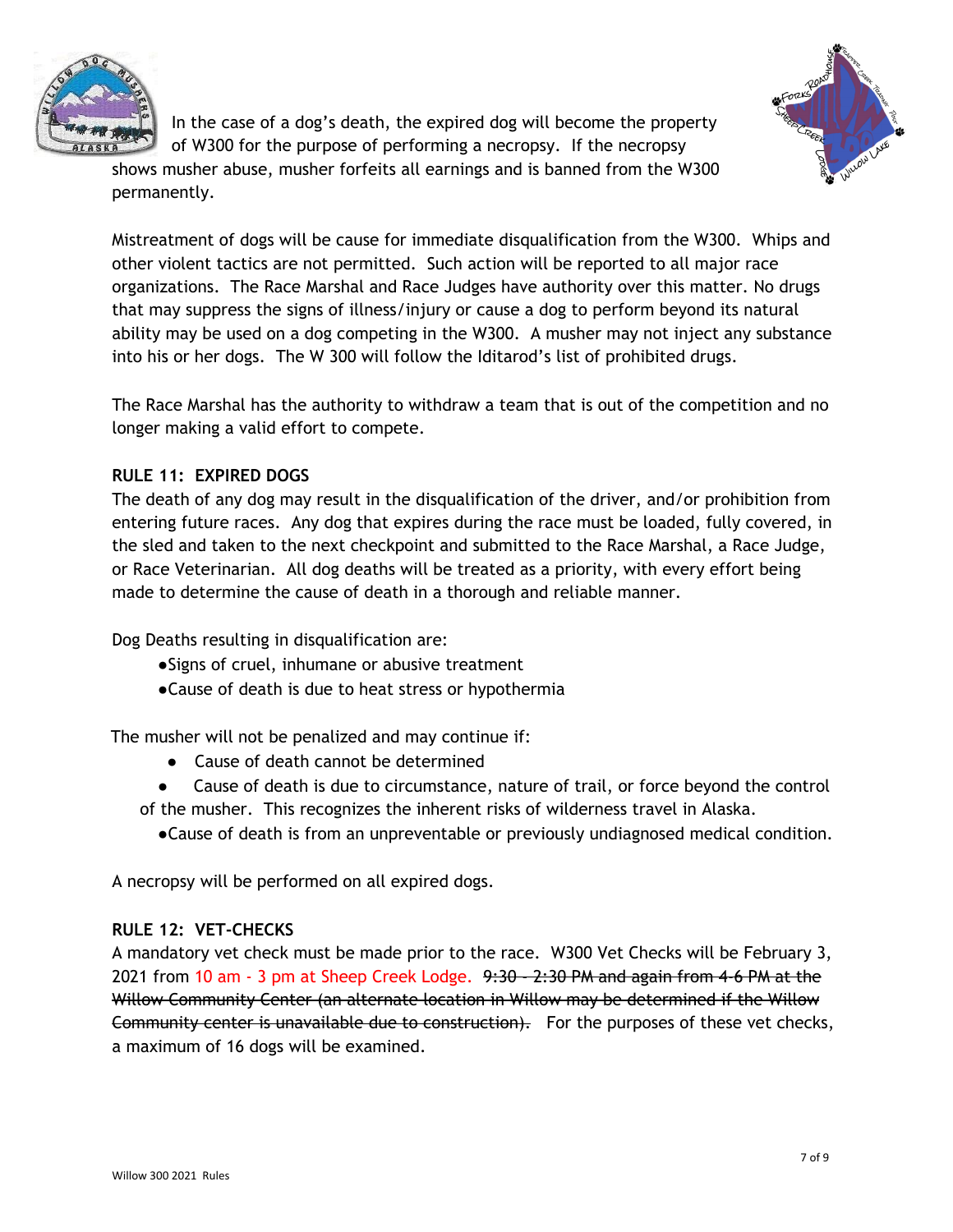



In the case of a dog's death, the expired dog will become the property of W300 for the purpose of performing a necropsy. If the necropsy

shows musher abuse, musher forfeits all earnings and is banned from the W300 permanently.

Mistreatment of dogs will be cause for immediate disqualification from the W300. Whips and other violent tactics are not permitted. Such action will be reported to all major race organizations. The Race Marshal and Race Judges have authority over this matter. No drugs that may suppress the signs of illness/injury or cause a dog to perform beyond its natural ability may be used on a dog competing in the W300. A musher may not inject any substance into his or her dogs. The W 300 will follow the Iditarod's list of prohibited drugs.

The Race Marshal has the authority to withdraw a team that is out of the competition and no longer making a valid effort to compete.

## **RULE 11: EXPIRED DOGS**

The death of any dog may result in the disqualification of the driver, and/or prohibition from entering future races. Any dog that expires during the race must be loaded, fully covered, in the sled and taken to the next checkpoint and submitted to the Race Marshal, a Race Judge, or Race Veterinarian. All dog deaths will be treated as a priority, with every effort being made to determine the cause of death in a thorough and reliable manner.

Dog Deaths resulting in disqualification are:

- ●Signs of cruel, inhumane or abusive treatment
- ●Cause of death is due to heat stress or hypothermia

The musher will not be penalized and may continue if:

- Cause of death cannot be determined
- Cause of death is due to circumstance, nature of trail, or force beyond the control of the musher. This recognizes the inherent risks of wilderness travel in Alaska.

●Cause of death is from an unpreventable or previously undiagnosed medical condition.

A necropsy will be performed on all expired dogs.

#### **RULE 12: VET-CHECKS**

A mandatory vet check must be made prior to the race. W300 Vet Checks will be February 3, 2021 from 10 am - 3 pm at Sheep Creek Lodge. 9:30 - 2:30 PM and again from 4-6 PM at the Willow Community Center (an alternate location in Willow may be determined if the Willow Community center is unavailable due to construction). For the purposes of these vet checks, a maximum of 16 dogs will be examined.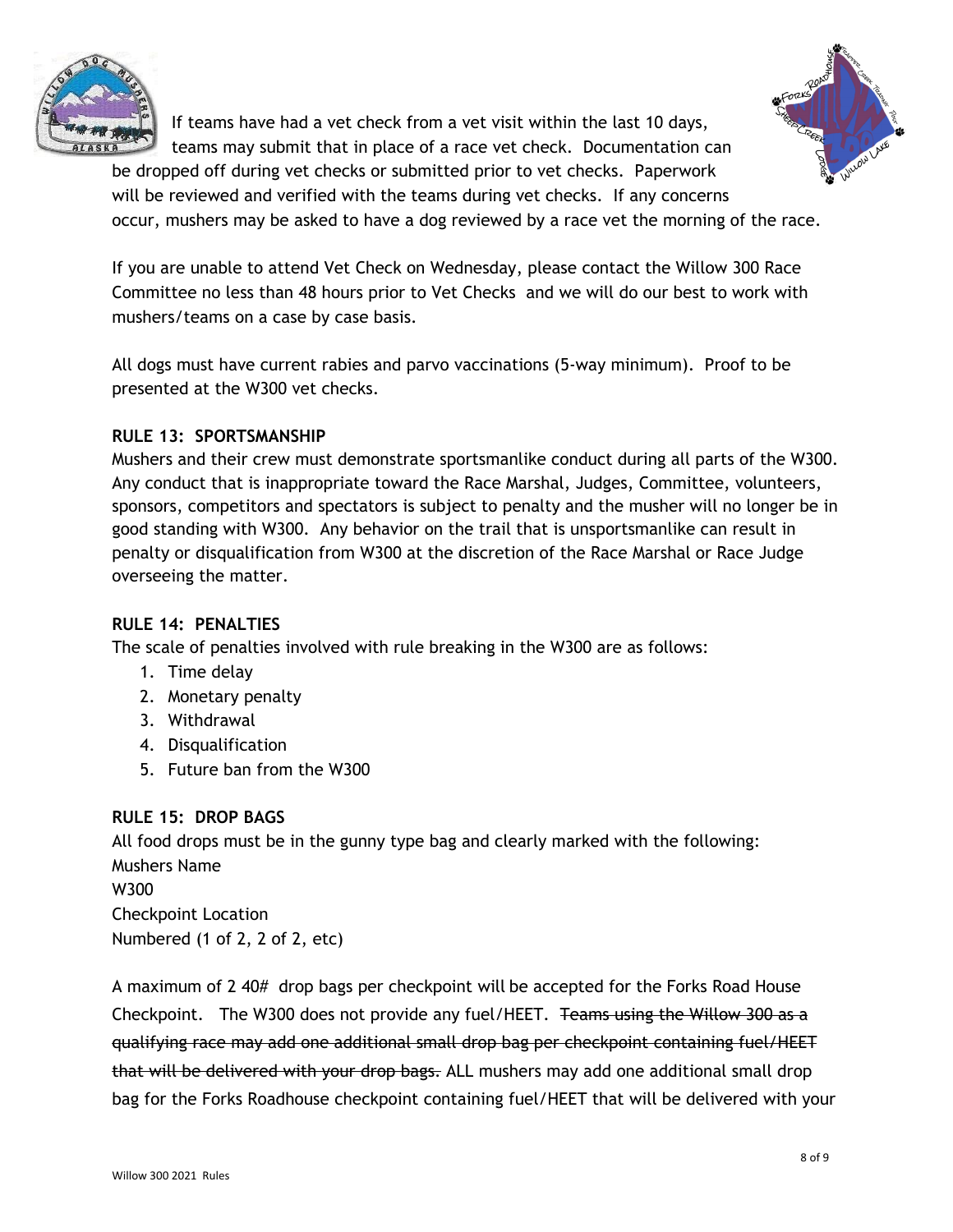

If teams have had a vet check from a vet visit within the last 10 days, teams may submit that in place of a race vet check. Documentation can



be dropped off during vet checks or submitted prior to vet checks. Paperwork will be reviewed and verified with the teams during vet checks. If any concerns occur, mushers may be asked to have a dog reviewed by a race vet the morning of the race.

If you are unable to attend Vet Check on Wednesday, please contact the Willow 300 Race Committee no less than 48 hours prior to Vet Checks and we will do our best to work with mushers/teams on a case by case basis.

All dogs must have current rabies and parvo vaccinations (5-way minimum). Proof to be presented at the W300 vet checks.

## **RULE 13: SPORTSMANSHIP**

Mushers and their crew must demonstrate sportsmanlike conduct during all parts of the W300. Any conduct that is inappropriate toward the Race Marshal, Judges, Committee, volunteers, sponsors, competitors and spectators is subject to penalty and the musher will no longer be in good standing with W300. Any behavior on the trail that is unsportsmanlike can result in penalty or disqualification from W300 at the discretion of the Race Marshal or Race Judge overseeing the matter.

## **RULE 14: PENALTIES**

The scale of penalties involved with rule breaking in the W300 are as follows:

- 1. Time delay
- 2. Monetary penalty
- 3. Withdrawal
- 4. Disqualification
- 5. Future ban from the W300

## **RULE 15: DROP BAGS**

All food drops must be in the gunny type bag and clearly marked with the following: Mushers Name W300 Checkpoint Location Numbered (1 of 2, 2 of 2, etc)

A maximum of 2 40# drop bags per checkpoint will be accepted for the Forks Road House Checkpoint. The W300 does not provide any fuel/HEET. Teams using the Willow 300 as a qualifying race may add one additional small drop bag per checkpoint containing fuel/HEET that will be delivered with your drop bags. ALL mushers may add one additional small drop bag for the Forks Roadhouse checkpoint containing fuel/HEET that will be delivered with your